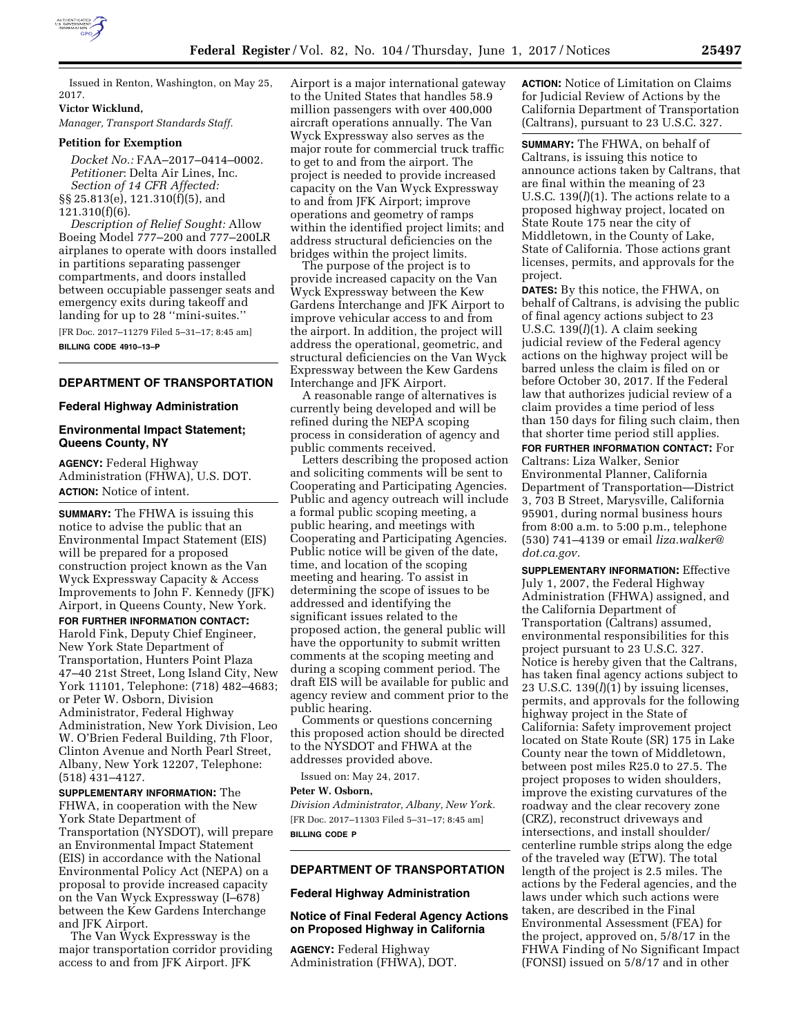

Issued in Renton, Washington, on May 25, 2017.

**Victor Wicklund,** 

*Manager, Transport Standards Staff.* 

## **Petition for Exemption**

*Docket No.:* FAA–2017–0414–0002. *Petitioner*: Delta Air Lines, Inc. *Section of 14 CFR Affected:*  §§ 25.813(e), 121.310(f)(5), and 121.310(f)(6).

*Description of Relief Sought:* Allow Boeing Model 777–200 and 777–200LR airplanes to operate with doors installed in partitions separating passenger compartments, and doors installed between occupiable passenger seats and emergency exits during takeoff and landing for up to 28 ''mini-suites.''

[FR Doc. 2017–11279 Filed 5–31–17; 8:45 am] **BILLING CODE 4910–13–P** 

### **DEPARTMENT OF TRANSPORTATION**

#### **Federal Highway Administration**

#### **Environmental Impact Statement; Queens County, NY**

**AGENCY:** Federal Highway Administration (FHWA), U.S. DOT. **ACTION:** Notice of intent.

**SUMMARY:** The FHWA is issuing this notice to advise the public that an Environmental Impact Statement (EIS) will be prepared for a proposed construction project known as the Van Wyck Expressway Capacity & Access Improvements to John F. Kennedy (JFK) Airport, in Queens County, New York.

**FOR FURTHER INFORMATION CONTACT:**  Harold Fink, Deputy Chief Engineer, New York State Department of Transportation, Hunters Point Plaza 47–40 21st Street, Long Island City, New York 11101, Telephone: (718) 482–4683; or Peter W. Osborn, Division Administrator, Federal Highway Administration, New York Division, Leo W. O'Brien Federal Building, 7th Floor, Clinton Avenue and North Pearl Street, Albany, New York 12207, Telephone: (518) 431–4127.

**SUPPLEMENTARY INFORMATION:** The FHWA, in cooperation with the New York State Department of Transportation (NYSDOT), will prepare an Environmental Impact Statement (EIS) in accordance with the National Environmental Policy Act (NEPA) on a proposal to provide increased capacity on the Van Wyck Expressway (I–678) between the Kew Gardens Interchange and JFK Airport.

The Van Wyck Expressway is the major transportation corridor providing access to and from JFK Airport. JFK

Airport is a major international gateway to the United States that handles 58.9 million passengers with over 400,000 aircraft operations annually. The Van Wyck Expressway also serves as the major route for commercial truck traffic to get to and from the airport. The project is needed to provide increased capacity on the Van Wyck Expressway to and from JFK Airport; improve operations and geometry of ramps within the identified project limits; and address structural deficiencies on the bridges within the project limits.

The purpose of the project is to provide increased capacity on the Van Wyck Expressway between the Kew Gardens Interchange and JFK Airport to improve vehicular access to and from the airport. In addition, the project will address the operational, geometric, and structural deficiencies on the Van Wyck Expressway between the Kew Gardens Interchange and JFK Airport.

A reasonable range of alternatives is currently being developed and will be refined during the NEPA scoping process in consideration of agency and public comments received.

Letters describing the proposed action and soliciting comments will be sent to Cooperating and Participating Agencies. Public and agency outreach will include a formal public scoping meeting, a public hearing, and meetings with Cooperating and Participating Agencies. Public notice will be given of the date, time, and location of the scoping meeting and hearing. To assist in determining the scope of issues to be addressed and identifying the significant issues related to the proposed action, the general public will have the opportunity to submit written comments at the scoping meeting and during a scoping comment period. The draft EIS will be available for public and agency review and comment prior to the public hearing.

Comments or questions concerning this proposed action should be directed to the NYSDOT and FHWA at the addresses provided above.

Issued on: May 24, 2017.

#### **Peter W. Osborn,**

*Division Administrator, Albany, New York.*  [FR Doc. 2017–11303 Filed 5–31–17; 8:45 am] **BILLING CODE P** 

#### **DEPARTMENT OF TRANSPORTATION**

#### **Federal Highway Administration**

### **Notice of Final Federal Agency Actions on Proposed Highway in California**

**AGENCY:** Federal Highway Administration (FHWA), DOT. **ACTION:** Notice of Limitation on Claims for Judicial Review of Actions by the California Department of Transportation (Caltrans), pursuant to 23 U.S.C. 327.

**SUMMARY:** The FHWA, on behalf of Caltrans, is issuing this notice to announce actions taken by Caltrans, that are final within the meaning of 23 U.S.C. 139(*l*)(1). The actions relate to a proposed highway project, located on State Route 175 near the city of Middletown, in the County of Lake, State of California. Those actions grant licenses, permits, and approvals for the project.

**DATES:** By this notice, the FHWA, on behalf of Caltrans, is advising the public of final agency actions subject to 23 U.S.C. 139(*l*)(1). A claim seeking judicial review of the Federal agency actions on the highway project will be barred unless the claim is filed on or before October 30, 2017. If the Federal law that authorizes judicial review of a claim provides a time period of less than 150 days for filing such claim, then that shorter time period still applies.

**FOR FURTHER INFORMATION CONTACT:** For Caltrans: Liza Walker, Senior Environmental Planner, California Department of Transportation—District 3, 703 B Street, Marysville, California 95901, during normal business hours from 8:00 a.m. to 5:00 p.m., telephone (530) 741–4139 or email *[liza.walker@](mailto:liza.walker@dot.ca.gov) [dot.ca.gov.](mailto:liza.walker@dot.ca.gov)* 

**SUPPLEMENTARY INFORMATION:** Effective July 1, 2007, the Federal Highway Administration (FHWA) assigned, and the California Department of Transportation (Caltrans) assumed, environmental responsibilities for this project pursuant to 23 U.S.C. 327. Notice is hereby given that the Caltrans, has taken final agency actions subject to 23 U.S.C. 139(*l*)(1) by issuing licenses, permits, and approvals for the following highway project in the State of California: Safety improvement project located on State Route (SR) 175 in Lake County near the town of Middletown, between post miles R25.0 to 27.5. The project proposes to widen shoulders, improve the existing curvatures of the roadway and the clear recovery zone (CRZ), reconstruct driveways and intersections, and install shoulder/ centerline rumble strips along the edge of the traveled way (ETW). The total length of the project is 2.5 miles. The actions by the Federal agencies, and the laws under which such actions were taken, are described in the Final Environmental Assessment (FEA) for the project, approved on, 5/8/17 in the FHWA Finding of No Significant Impact (FONSI) issued on 5/8/17 and in other